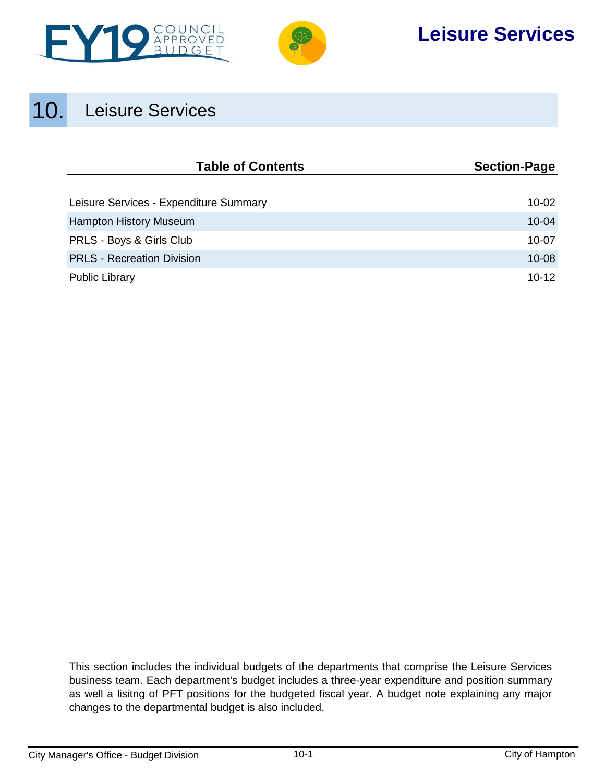



# **Leisure Services**

# 10. Leisure Services

| <b>Table of Contents</b>               | <b>Section-Page</b> |
|----------------------------------------|---------------------|
|                                        |                     |
| Leisure Services - Expenditure Summary | $10 - 02$           |
| <b>Hampton History Museum</b>          | $10 - 04$           |
| PRLS - Boys & Girls Club               | $10 - 07$           |
| <b>PRLS - Recreation Division</b>      | $10 - 08$           |
| <b>Public Library</b>                  | $10 - 12$           |

This section includes the individual budgets of the departments that comprise the Leisure Services business team. Each department's budget includes a three-year expenditure and position summary as well a lisitng of PFT positions for the budgeted fiscal year. A budget note explaining any major changes to the departmental budget is also included.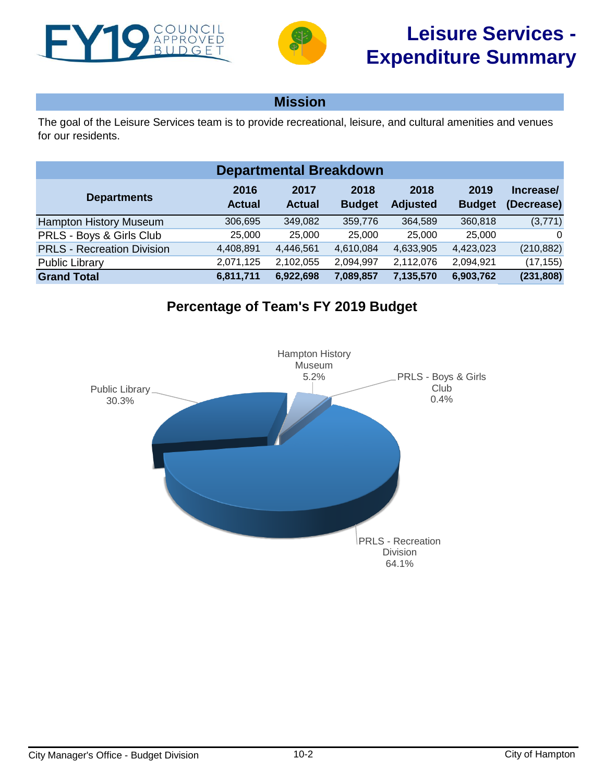<span id="page-1-0"></span>



## **Mission**

The goal of the Leisure Services team is to provide recreational, leisure, and cultural amenities and venues for our residents.

| <b>Departmental Breakdown</b>     |                       |                       |                       |                         |                       |                         |  |  |  |  |
|-----------------------------------|-----------------------|-----------------------|-----------------------|-------------------------|-----------------------|-------------------------|--|--|--|--|
| <b>Departments</b>                | 2016<br><b>Actual</b> | 2017<br><b>Actual</b> | 2018<br><b>Budget</b> | 2018<br><b>Adjusted</b> | 2019<br><b>Budget</b> | Increase/<br>(Decrease) |  |  |  |  |
| <b>Hampton History Museum</b>     | 306,695               | 349,082               | 359,776               | 364,589                 | 360,818               | (3,771)                 |  |  |  |  |
| PRLS - Boys & Girls Club          | 25,000                | 25,000                | 25,000                | 25,000                  | 25,000                | $\Omega$                |  |  |  |  |
| <b>PRLS - Recreation Division</b> | 4,408,891             | 4,446,561             | 4,610,084             | 4,633,905               | 4,423,023             | (210, 882)              |  |  |  |  |
| <b>Public Library</b>             | 2,071,125             | 2,102,055             | 2,094,997             | 2,112,076               | 2,094,921             | (17, 155)               |  |  |  |  |
| <b>Grand Total</b>                | 6,811,711             | 6,922,698             | 7,089,857             | 7,135,570               | 6,903,762             | (231, 808)              |  |  |  |  |

# **Percentage of Team's FY 2019 Budget**

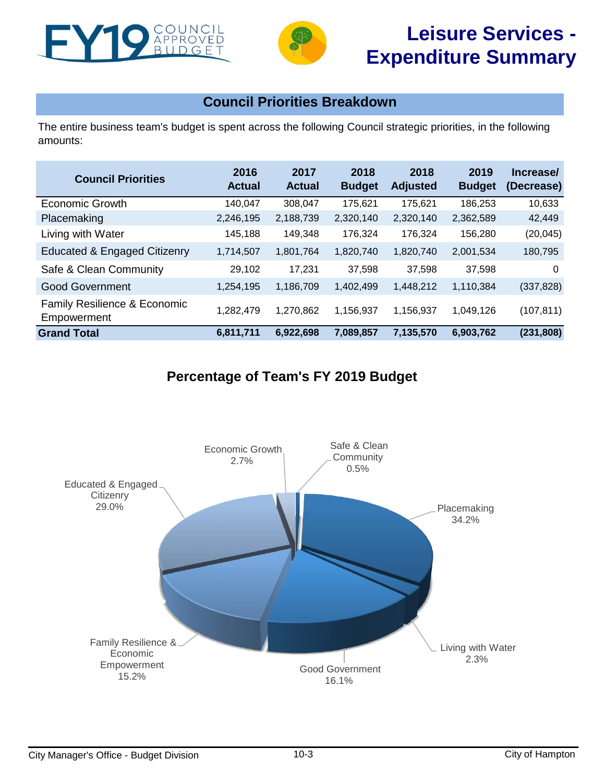



# **Council Priorities Breakdown**

The entire business team's budget is spent across the following Council strategic priorities, in the following amounts:

| <b>Council Priorities</b>                   | 2016<br><b>Actual</b> | 2017<br><b>Actual</b> | 2018<br><b>Budget</b> | 2018<br><b>Adjusted</b> | 2019<br><b>Budget</b> | Increase/<br>(Decrease) |
|---------------------------------------------|-----------------------|-----------------------|-----------------------|-------------------------|-----------------------|-------------------------|
| <b>Economic Growth</b>                      | 140,047               | 308,047               | 175,621               | 175,621                 | 186,253               | 10,633                  |
| Placemaking                                 | 2,246,195             | 2,188,739             | 2,320,140             | 2,320,140               | 2,362,589             | 42,449                  |
| Living with Water                           | 145,188               | 149,348               | 176,324               | 176,324                 | 156,280               | (20, 045)               |
| <b>Educated &amp; Engaged Citizenry</b>     | 1,714,507             | 1,801,764             | 1,820,740             | 1,820,740               | 2,001,534             | 180,795                 |
| Safe & Clean Community                      | 29,102                | 17,231                | 37,598                | 37,598                  | 37.598                | $\Omega$                |
| <b>Good Government</b>                      | 1,254,195             | 1,186,709             | 1,402,499             | 1,448,212               | 1,110,384             | (337, 828)              |
| Family Resilience & Economic<br>Empowerment | 1,282,479             | 1,270,862             | 1.156.937             | 1,156,937               | 1,049,126             | (107, 811)              |
| <b>Grand Total</b>                          | 6,811,711             | 6,922,698             | 7,089,857             | 7,135,570               | 6,903,762             | (231, 808)              |

# **Percentage of Team's FY 2019 Budget**

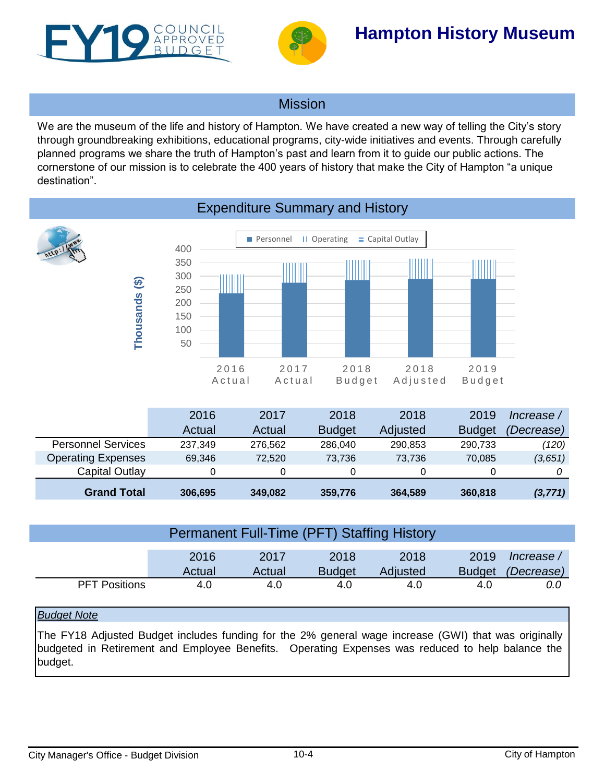<span id="page-3-0"></span>



# **Hampton History Museum**

## **Mission**

We are the museum of the life and history of Hampton. We have created a new way of telling the City's story through groundbreaking exhibitions, educational programs, city-wide initiatives and events. Through carefully planned programs we share the truth of Hampton's past and learn from it to guide our public actions. The cornerstone of our mission is to celebrate the 400 years of history that make the City of Hampton "a unique destination".



## Expenditure Summary and History

|                           | 2016    | 2017    | 2018          | 2018     | 2019          | lncrease /        |
|---------------------------|---------|---------|---------------|----------|---------------|-------------------|
|                           | Actual  | Actual  | <b>Budget</b> | Adjusted | <b>Budget</b> | <i>(Decrease)</i> |
| <b>Personnel Services</b> | 237,349 | 276.562 | 286,040       | 290,853  | 290,733       | (120)             |
| <b>Operating Expenses</b> | 69,346  | 72.520  | 73.736        | 73.736   | 70,085        | (3,651)           |
| Capital Outlay            |         |         | 0             |          |               |                   |
| <b>Grand Total</b>        | 306,695 | 349,082 | 359,776       | 364,589  | 360,818       | (3, 771)          |

### Permanent Full-Time (PFT) Staffing History

|                      | 2016   | 2017   | 2018          | 2018     | 2019 | lncrease /               |
|----------------------|--------|--------|---------------|----------|------|--------------------------|
|                      | Actual | Actual | <b>Budget</b> | Adjusted |      | Budget <i>(Decrease)</i> |
| <b>PFT Positions</b> | 4.0    | 4.0    | 4.0           | 4.0      | 4.0  | 0.G                      |

### *Budget Note*

The FY18 Adjusted Budget includes funding for the 2% general wage increase (GWI) that was originally budgeted in Retirement and Employee Benefits. Operating Expenses was reduced to help balance the budget.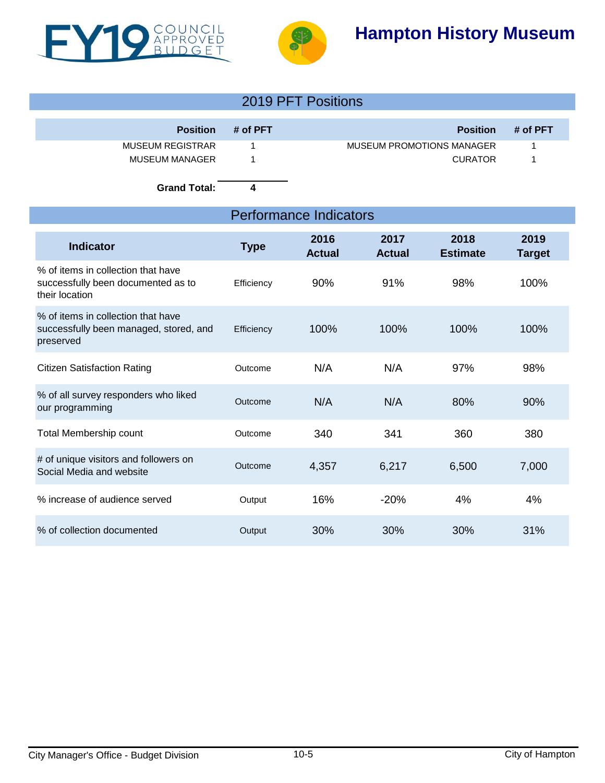



# **Hampton History Museum**

|                         |            | 2019 PFT Positions        |          |
|-------------------------|------------|---------------------------|----------|
| <b>Position</b>         | $#$ of PFT | <b>Position</b>           | # of PFT |
| <b>MUSEUM REGISTRAR</b> |            | MUSEUM PROMOTIONS MANAGER |          |
| <b>MUSEUM MANAGER</b>   |            | <b>CURATOR</b>            |          |

**Grand Total: 4**

## Performance Indicators

| <b>Indicator</b>                                                                           | <b>Type</b> | 2016<br><b>Actual</b> | 2017<br><b>Actual</b> | 2018<br><b>Estimate</b> | 2019<br>Target |
|--------------------------------------------------------------------------------------------|-------------|-----------------------|-----------------------|-------------------------|----------------|
| % of items in collection that have<br>successfully been documented as to<br>their location | Efficiency  | 90%                   | 91%                   | 98%                     | 100%           |
| % of items in collection that have<br>successfully been managed, stored, and<br>preserved  | Efficiency  | 100%                  | 100%                  | 100%                    | 100%           |
| <b>Citizen Satisfaction Rating</b>                                                         | Outcome     | N/A                   | N/A                   | 97%                     | 98%            |
| % of all survey responders who liked<br>our programming                                    | Outcome     | N/A                   | N/A                   | 80%                     | 90%            |
| Total Membership count                                                                     | Outcome     | 340                   | 341                   | 360                     | 380            |
| # of unique visitors and followers on<br>Social Media and website                          | Outcome     | 4,357                 | 6,217                 | 6,500                   | 7,000          |
| % increase of audience served                                                              | Output      | 16%                   | $-20%$                | 4%                      | 4%             |
| % of collection documented                                                                 | Output      | 30%                   | 30%                   | 30%                     | 31%            |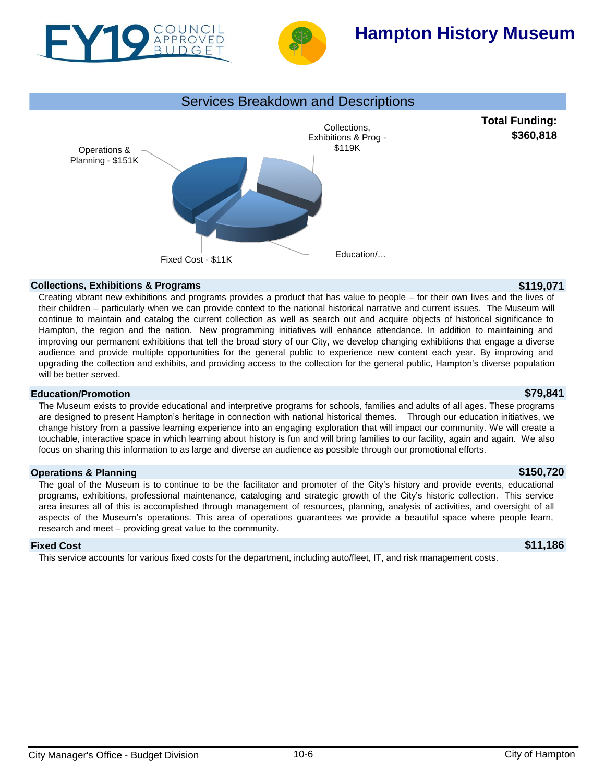



# **Hampton History Museum**



### **Collections, Exhibitions & Programs \$119,071**

Creating vibrant new exhibitions and programs provides a product that has value to people – for their own lives and the lives of their children – particularly when we can provide context to the national historical narrative and current issues. The Museum will continue to maintain and catalog the current collection as well as search out and acquire objects of historical significance to Hampton, the region and the nation. New programming initiatives will enhance attendance. In addition to maintaining and improving our permanent exhibitions that tell the broad story of our City, we develop changing exhibitions that engage a diverse audience and provide multiple opportunities for the general public to experience new content each year. By improving and upgrading the collection and exhibits, and providing access to the collection for the general public, Hampton's diverse population will be better served.

### **Education/Promotion \$79,841**

The Museum exists to provide educational and interpretive programs for schools, families and adults of all ages. These programs are designed to present Hampton's heritage in connection with national historical themes. Through our education initiatives, we change history from a passive learning experience into an engaging exploration that will impact our community. We will create a touchable, interactive space in which learning about history is fun and will bring families to our facility, again and again. We also focus on sharing this information to as large and diverse an audience as possible through our promotional efforts.

### **Operations & Planning \$150,720**

The goal of the Museum is to continue to be the facilitator and promoter of the City's history and provide events, educational programs, exhibitions, professional maintenance, cataloging and strategic growth of the City's historic collection. This service area insures all of this is accomplished through management of resources, planning, analysis of activities, and oversight of all aspects of the Museum's operations. This area of operations guarantees we provide a beautiful space where people learn, research and meet – providing great value to the community.

### **Fixed Cost \$11,186**

This service accounts for various fixed costs for the department, including auto/fleet, IT, and risk management costs.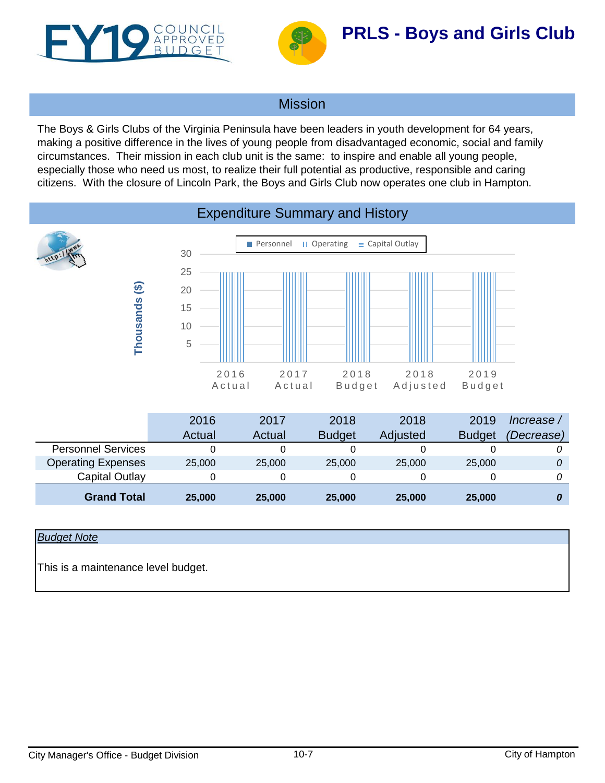<span id="page-6-0"></span>



## Mission

The Boys & Girls Clubs of the Virginia Peninsula have been leaders in youth development for 64 years, making a positive difference in the lives of young people from disadvantaged economic, social and family circumstances. Their mission in each club unit is the same: to inspire and enable all young people, especially those who need us most, to realize their full potential as productive, responsible and caring citizens. With the closure of Lincoln Park, the Boys and Girls Club now operates one club in Hampton.



## *Budget Note*

This is a maintenance level budget.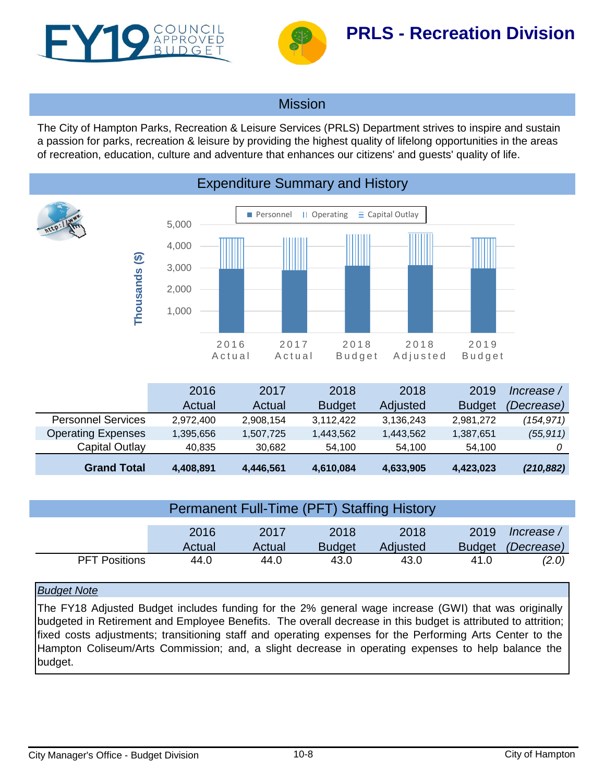<span id="page-7-0"></span>



## **Mission**

The City of Hampton Parks, Recreation & Leisure Services (PRLS) Department strives to inspire and sustain a passion for parks, recreation & leisure by providing the highest quality of lifelong opportunities in the areas of recreation, education, culture and adventure that enhances our citizens' and guests' quality of life.



|                           | 2016      | 2017      | 2018          | 2018      | 2019          | Increase / |
|---------------------------|-----------|-----------|---------------|-----------|---------------|------------|
|                           | Actual    | Actual    | <b>Budget</b> | Adjusted  | <b>Budget</b> | (Decrease) |
| <b>Personnel Services</b> | 2.972.400 | 2,908,154 | 3.112.422     | 3,136,243 | 2.981.272     | (154,971)  |
| <b>Operating Expenses</b> | 1,395,656 | 1,507,725 | 1,443,562     | 1.443.562 | 1,387,651     | (55, 911)  |
| Capital Outlay            | 40.835    | 30.682    | 54.100        | 54.100    | 54.100        |            |
| <b>Grand Total</b>        | 4,408,891 | 4,446,561 | 4,610,084     | 4,633,905 | 4,423,023     | (210, 882) |

| Permanent Full-Time (PFT) Staffing History |        |        |               |          |               |            |  |  |  |
|--------------------------------------------|--------|--------|---------------|----------|---------------|------------|--|--|--|
|                                            | 2016   | 2017   | 2018          | 2018     | 2019          | lncrease / |  |  |  |
|                                            | Actual | Actual | <b>Budget</b> | Adjusted | <b>Budget</b> | (Decrease) |  |  |  |
| <b>PFT Positions</b>                       | 44.0   | 44.0   | 43.0          | 43.0     | 41.0          | (2.0)      |  |  |  |

### *Budget Note*

The FY18 Adjusted Budget includes funding for the 2% general wage increase (GWI) that was originally budgeted in Retirement and Employee Benefits. The overall decrease in this budget is attributed to attrition; fixed costs adjustments; transitioning staff and operating expenses for the Performing Arts Center to the Hampton Coliseum/Arts Commission; and, a slight decrease in operating expenses to help balance the budget.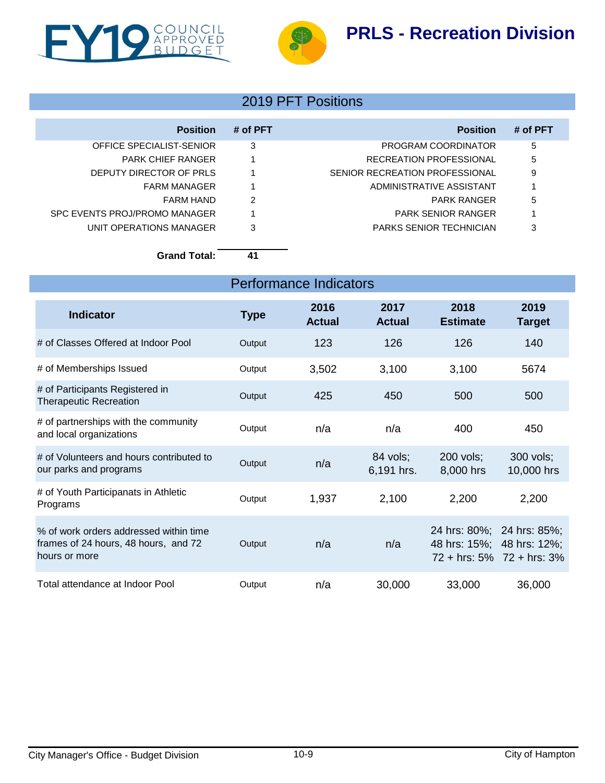# **PRLS - Recreation Division**





## 2019 PFT Positions

| <b>Position</b>               | # of PFT | <b>Position</b>                | # of PFT |
|-------------------------------|----------|--------------------------------|----------|
| OFFICE SPECIALIST-SENIOR      | 3        | PROGRAM COORDINATOR            | 5        |
| <b>PARK CHIEF RANGER</b>      |          | RECREATION PROFESSIONAL        | 5        |
| DEPUTY DIRECTOR OF PRLS       |          | SENIOR RECREATION PROFESSIONAL | 9        |
| <b>FARM MANAGER</b>           |          | ADMINISTRATIVE ASSISTANT       |          |
| FARM HAND                     | 2        | PARK RANGER                    | 5        |
| SPC EVENTS PROJ/PROMO MANAGER |          | <b>PARK SENIOR RANGER</b>      |          |
| UNIT OPERATIONS MANAGER       | 3        | <b>PARKS SENIOR TECHNICIAN</b> | 3        |

**Grand Total: 41**

| <b>Indicator</b>                                                                                | <b>Type</b> | 2016<br><b>Actual</b> | 2017<br><b>Actual</b>  | 2018<br><b>Estimate</b>                                | 2019<br><b>Target</b>           |
|-------------------------------------------------------------------------------------------------|-------------|-----------------------|------------------------|--------------------------------------------------------|---------------------------------|
| # of Classes Offered at Indoor Pool                                                             | Output      | 123                   | 126                    | 126                                                    | 140                             |
| # of Memberships Issued                                                                         | Output      | 3,502                 | 3,100                  | 3,100                                                  | 5674                            |
| # of Participants Registered in<br><b>Therapeutic Recreation</b>                                | Output      | 425                   | 450                    | 500                                                    | 500                             |
| # of partnerships with the community<br>and local organizations                                 | Output      | n/a                   | n/a                    | 400                                                    | 450                             |
| # of Volunteers and hours contributed to<br>our parks and programs                              | Output      | n/a                   | 84 vols;<br>6,191 hrs. | 200 vols;<br>8,000 hrs                                 | 300 vols;<br>10,000 hrs         |
| # of Youth Participanats in Athletic<br>Programs                                                | Output      | 1,937                 | 2,100                  | 2,200                                                  | 2,200                           |
| % of work orders addressed within time<br>frames of 24 hours, 48 hours, and 72<br>hours or more | Output      | n/a                   | n/a                    | 24 hrs: 80%; 24 hrs: 85%;<br>48 hrs: 15%; 48 hrs: 12%; | $72 + hrs$ : 5% $72 + hrs$ : 3% |
| Total attendance at Indoor Pool                                                                 | Output      | n/a                   | 30,000                 | 33,000                                                 | 36,000                          |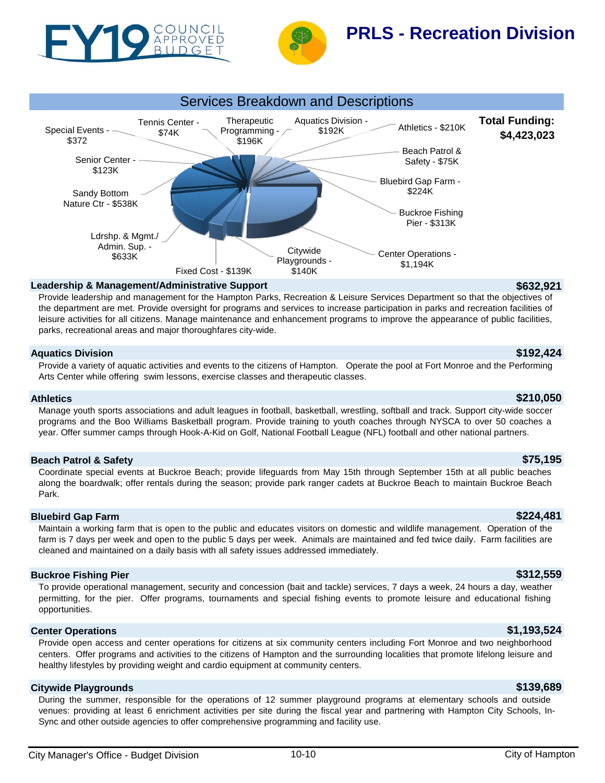



# **PRLS - Recreation Division**



### **Leadership & Management/Administrative Support \$632,921**

Provide leadership and management for the Hampton Parks, Recreation & Leisure Services Department so that the objectives of the department are met. Provide oversight for programs and services to increase participation in parks and recreation facilities of leisure activities for all citizens. Manage maintenance and enhancement programs to improve the appearance of public facilities, parks, recreational areas and major thoroughfares city-wide.

### **Aquatics Division \$192,424**

Provide a variety of aquatic activities and events to the citizens of Hampton. Operate the pool at Fort Monroe and the Performing Arts Center while offering swim lessons, exercise classes and therapeutic classes.

### **Athletics \$210,050**

Manage youth sports associations and adult leagues in football, basketball, wrestling, softball and track. Support city-wide soccer programs and the Boo Williams Basketball program. Provide training to youth coaches through NYSCA to over 50 coaches a year. Offer summer camps through Hook-A-Kid on Golf, National Football League (NFL) football and other national partners.

### **Beach Patrol & Safety \$75,195**

Coordinate special events at Buckroe Beach; provide lifeguards from May 15th through September 15th at all public beaches along the boardwalk; offer rentals during the season; provide park ranger cadets at Buckroe Beach to maintain Buckroe Beach Park.

### **Bluebird Gap Farm \$224,481**

Maintain a working farm that is open to the public and educates visitors on domestic and wildlife management. Operation of the farm is 7 days per week and open to the public 5 days per week. Animals are maintained and fed twice daily. Farm facilities are cleaned and maintained on a daily basis with all safety issues addressed immediately.

### **Buckroe Fishing Pier \$312,559**

To provide operational management, security and concession (bait and tackle) services, 7 days a week, 24 hours a day, weather permitting, for the pier. Offer programs, tournaments and special fishing events to promote leisure and educational fishing opportunities.

### **Center Operations \$1,193,524**

Provide open access and center operations for citizens at six community centers including Fort Monroe and two neighborhood centers. Offer programs and activities to the citizens of Hampton and the surrounding localities that promote lifelong leisure and healthy lifestyles by providing weight and cardio equipment at community centers.

### **Citywide Playgrounds \$139,689**

During the summer, responsible for the operations of 12 summer playground programs at elementary schools and outside venues: providing at least 6 enrichment activities per site during the fiscal year and partnering with Hampton City Schools, In-Sync and other outside agencies to offer comprehensive programming and facility use.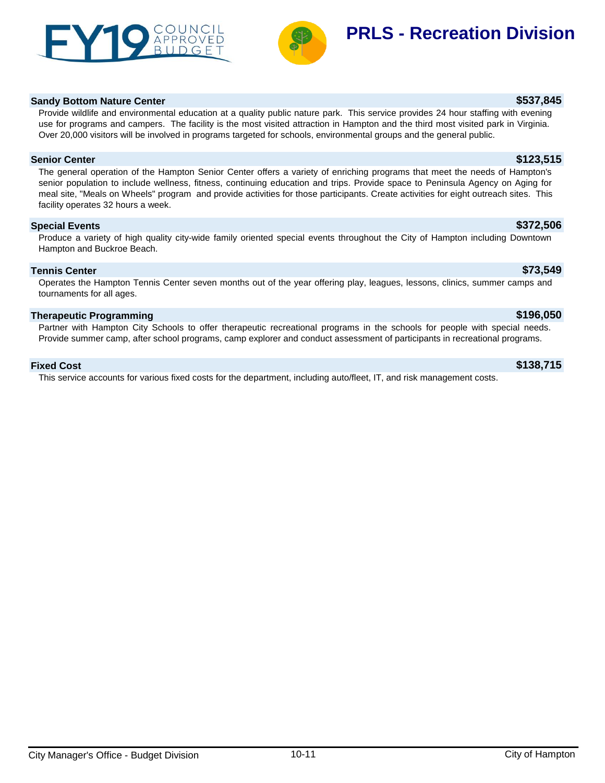



# **PRLS - Recreation Division**

### **Sandy Bottom Nature Center \$537,845**

Provide wildlife and environmental education at a quality public nature park. This service provides 24 hour staffing with evening use for programs and campers. The facility is the most visited attraction in Hampton and the third most visited park in Virginia. Over 20,000 visitors will be involved in programs targeted for schools, environmental groups and the general public.

### **Senior Center \$123,515**

The general operation of the Hampton Senior Center offers a variety of enriching programs that meet the needs of Hampton's senior population to include wellness, fitness, continuing education and trips. Provide space to Peninsula Agency on Aging for meal site, "Meals on Wheels" program and provide activities for those participants. Create activities for eight outreach sites. This facility operates 32 hours a week.

### **Special Events \$372,506**

Produce a variety of high quality city-wide family oriented special events throughout the City of Hampton including Downtown Hampton and Buckroe Beach.

### **Tennis Center \$73,549**

Operates the Hampton Tennis Center seven months out of the year offering play, leagues, lessons, clinics, summer camps and tournaments for all ages.

### **Therapeutic Programming \$196,050**

Partner with Hampton City Schools to offer therapeutic recreational programs in the schools for people with special needs. Provide summer camp, after school programs, camp explorer and conduct assessment of participants in recreational programs.

### **Fixed Cost \$138,715**

This service accounts for various fixed costs for the department, including auto/fleet, IT, and risk management costs.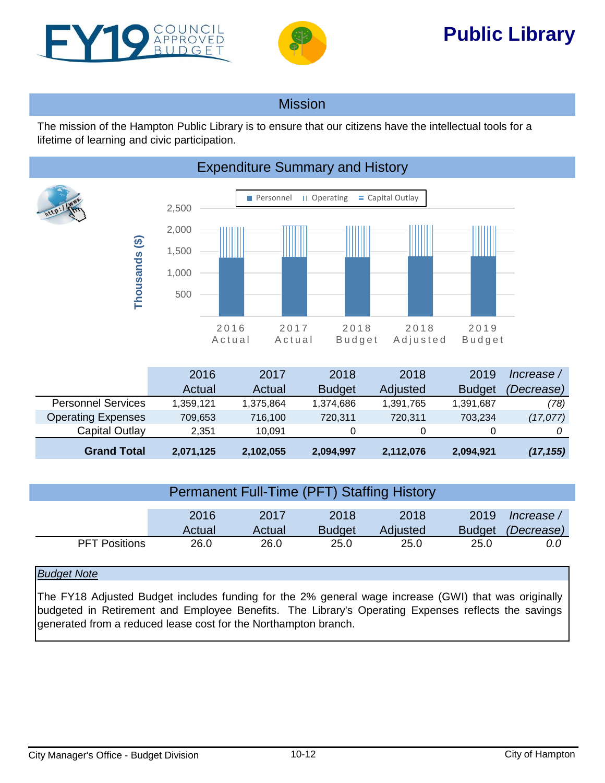<span id="page-11-0"></span>



# **Public Library**

## Mission

The mission of the Hampton Public Library is to ensure that our citizens have the intellectual tools for a lifetime of learning and civic participation.



|                           | 2016      | 2017      | 2018          | 2018      | 2019          | Increase /        |
|---------------------------|-----------|-----------|---------------|-----------|---------------|-------------------|
|                           | Actual    | Actual    | <b>Budget</b> | Adjusted  | <b>Budget</b> | <i>(Decrease)</i> |
| <b>Personnel Services</b> | 1.359.121 | 1,375,864 | 1,374,686     | 1,391,765 | 1,391,687     | (78)              |
| <b>Operating Expenses</b> | 709,653   | 716,100   | 720,311       | 720,311   | 703.234       | (17, 077)         |
| Capital Outlay            | 2.351     | 10.091    |               | 0         |               |                   |
| <b>Grand Total</b>        | 2,071,125 | 2,102,055 | 2,094,997     | 2,112,076 | 2,094,921     | (17, 155)         |

|                      | Permanent Full-Time (PFT) Staffing History |                |                       |                  |                       |                          |
|----------------------|--------------------------------------------|----------------|-----------------------|------------------|-----------------------|--------------------------|
|                      | 2016<br>Actual                             | 2017<br>Actual | 2018<br><b>Budget</b> | 2018<br>Adjusted | 2019<br><b>Budget</b> | / Increase<br>(Decrease) |
| <b>PFT Positions</b> | 26.0                                       | 26.0           | 25.0                  | 25.0             | 25.0                  | 0.0                      |

## *Budget Note*

The FY18 Adjusted Budget includes funding for the 2% general wage increase (GWI) that was originally budgeted in Retirement and Employee Benefits. The Library's Operating Expenses reflects the savings generated from a reduced lease cost for the Northampton branch.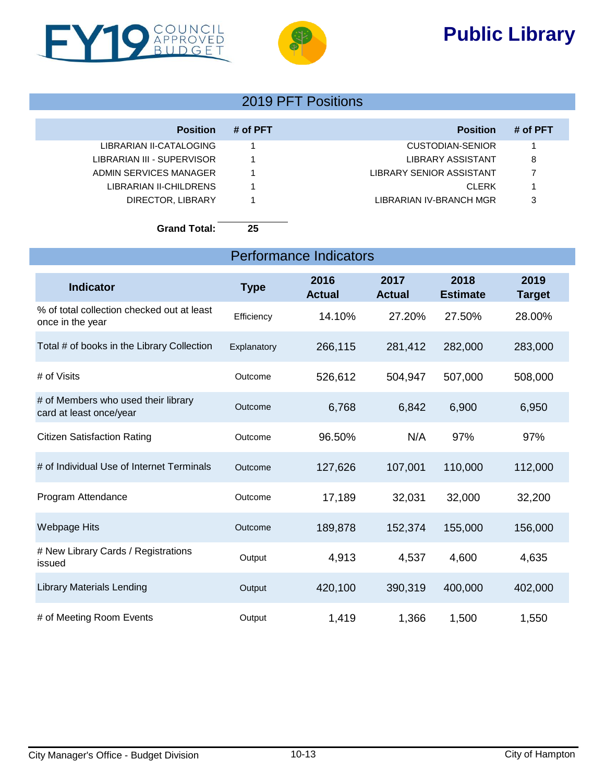# **Public Library**



I



## 2019 PFT Positions

| <b>Position</b>            | # of PFT | <b>Position</b>          | # of PFT |
|----------------------------|----------|--------------------------|----------|
| LIBRARIAN II-CATALOGING    |          | CUSTODIAN-SENIOR         |          |
| LIBRARIAN III - SUPERVISOR |          | LIBRARY ASSISTANT        | 8        |
| ADMIN SERVICES MANAGER     |          | LIBRARY SENIOR ASSISTANT |          |
| LIBRARIAN II-CHILDRENS     |          | <b>CLERK</b>             |          |
| DIRECTOR, LIBRARY          |          | LIBRARIAN IV-BRANCH MGR  | 3        |

**Grand Total: 25**

| <b>Performance Indicators</b>                                  |             |                       |                       |                         |                       |  |  |  |  |
|----------------------------------------------------------------|-------------|-----------------------|-----------------------|-------------------------|-----------------------|--|--|--|--|
| <b>Indicator</b>                                               | <b>Type</b> | 2016<br><b>Actual</b> | 2017<br><b>Actual</b> | 2018<br><b>Estimate</b> | 2019<br><b>Target</b> |  |  |  |  |
| % of total collection checked out at least<br>once in the year | Efficiency  | 14.10%                | 27.20%                | 27.50%                  | 28.00%                |  |  |  |  |
| Total # of books in the Library Collection                     | Explanatory | 266,115               | 281,412               | 282,000                 | 283,000               |  |  |  |  |
| # of Visits                                                    | Outcome     | 526,612               | 504,947               | 507,000                 | 508,000               |  |  |  |  |
| # of Members who used their library<br>card at least once/year | Outcome     | 6,768                 | 6,842                 | 6,900                   | 6,950                 |  |  |  |  |
| <b>Citizen Satisfaction Rating</b>                             | Outcome     | 96.50%                | N/A                   | 97%                     | 97%                   |  |  |  |  |
| # of Individual Use of Internet Terminals                      | Outcome     | 127,626               | 107,001               | 110,000                 | 112,000               |  |  |  |  |
| Program Attendance                                             | Outcome     | 17,189                | 32,031                | 32,000                  | 32,200                |  |  |  |  |
| Webpage Hits                                                   | Outcome     | 189,878               | 152,374               | 155,000                 | 156,000               |  |  |  |  |
| # New Library Cards / Registrations<br>issued                  | Output      | 4,913                 | 4,537                 | 4,600                   | 4,635                 |  |  |  |  |
| <b>Library Materials Lending</b>                               | Output      | 420,100               | 390,319               | 400,000                 | 402,000               |  |  |  |  |
| # of Meeting Room Events                                       | Output      | 1,419                 | 1,366                 | 1,500                   | 1,550                 |  |  |  |  |